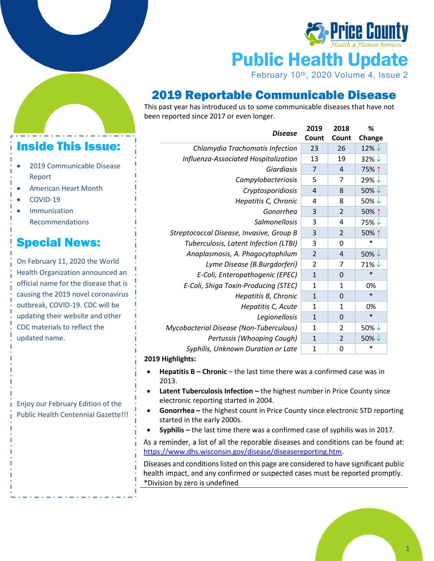

Public Health Update

February 10<sup>th</sup>, 2020 Volume 4, Issue 2

### 2019 Reportable Communicable Disease

This past year has introduced us to some communicable diseases that have not been reported since 2017 or even longer.

#### *Disease* **<sup>2019</sup> Count 2018 Count % Change** *Chlamydia Trachomatis Infection* 23 26 26 22% *Influenza-Associated Hospitalization* | 13 | 19 | 32%  $\downarrow$ *Giardiasis* 7 4 75% ↑ *Campylobacteriosis*  $\begin{array}{c|c} 5 & 7 & 29\% \end{array}$  $Cryptosporidiosis$  4 8 50% $\downarrow$ *Hepatitis C, Chronic*  $\begin{array}{|c|c|c|} 4 & 8 & 50\% \end{array}$ *Gonorrhea* 3 2 50% **↑** *Salmonellosis*  $\begin{array}{|c|c|c|} 3 & 4 & 75\% \end{array}$ *Streptococcal Disease, Invasive, Group B* 3 2 50% **↑** *Tuberculosis, Latent Infection (LTBI)* 3 0 \* *Anaplasmosis, A. Phagocytophilum* 2 4 50% *Lyme Disease (B.Burgdorferi)*  $\begin{array}{ccc} 2 & 7 & 71\% \end{array}$ *E-Coli, Enteropathogenic (EPEC)* 1 0 \* *E-Coli, Shiga Toxin-Producing (STEC)* 1 1 0% *Hepatitis B, Chronic* | 1 | 0 | \* *Hepatitis C, Acute* | 1 | 1 | 0% *Legionellosis* 1 0 \* *Mycobacterial Disease (Non-Tuberculous)* | 1 | 2 | 50%  $\downarrow$ *Pertussis (Whooping Cough)* 1 2 50% *Syphilis, Unknown Duration or Late* | 1 | 0 | \*

### **2019 Highlights:**

- **Hepatitis B – Chronic** the last time there was a confirmed case was in 2013.
- **Latent Tuberculosis Infection –** the highest number in Price County since electronic reporting started in 2004.
- **Gonorrhea –** the highest count in Price County since electronic STD reporting started in the early 2000s.
- **Syphilis –** the last time there was a confirmed case of syphilis was in 2017.

As a reminder, a list of all the reporable diseases and conditions can be found at: [https://www.dhs.wisconsin.gov/disease/diseasereporting.htm.](https://www.dhs.wisconsin.gov/disease/diseasereporting.htm)

Diseases and conditions listed on this page are considered to have significant public health impact, and any confirmed or suspected cases must be reported promptly. \*Division by zero is undefined



## Inside This Issue:

- 2019 Communicable Disease Report
- American Heart Month
- COVID-19
- **Immunization** Recommendations

# Special News:

On February 11, 2020 the World Health Organization announced an official name for the disease that is causing the 2019 novel coronavirus outbreak, COVID-19. CDC will be updating their website and other CDC materials to reflect the updated name.

Enjoy our February Edition of the Public Health Centennial Gazette!!!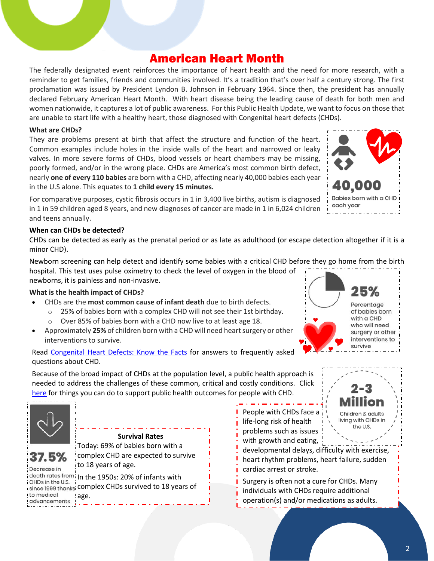## American Heart Month

The federally designated event reinforces the importance of heart health and the need for more research, with a reminder to get families, friends and communities involved. It's a tradition that's over half a century strong. The first proclamation was issued by President Lyndon B. Johnson in February 1964. Since then, the president has annually declared February American Heart Month. With heart disease being the leading cause of death for both men and women nationwide, it captures a lot of public awareness. For this Public Health Update, we want to focus on those that are unable to start life with a healthy heart, those diagnosed with Congenital heart defects (CHDs).

### **What are CHDs?**

They are problems present at birth that affect the structure and function of the heart. Common examples include holes in the inside walls of the heart and narrowed or leaky valves. In more severe forms of CHDs, blood vessels or heart chambers may be missing, poorly formed, and/or in the wrong place. CHDs are America's most common birth defect, nearly **one of every 110 babies** are born with a CHD, affecting nearly 40,000 babies each year in the U.S alone. This equates to **1 child every 15 minutes.**

For comparative purposes, cystic fibrosis occurs in 1 in 3,400 live births, autism is diagnosed in 1 in 59 children aged 8 years, and new diagnoses of cancer are made in 1 in 6,024 children and teens annually.

### **When can CHDs be detected?**

CHDs can be detected as early as the prenatal period or as late as adulthood (or escape detection altogether if it is a minor CHD).

Newborn screening can help detect and identify some babies with a critical CHD before they go home from the birth hospital. This test uses pulse oximetry to check the level of oxygen in the blood of newborns, it is painless and non-invasive.

### **What is the health impact of CHDs?**

- CHDs are the **most common cause of infant death** due to birth defects.
	- o 25% of babies born with a complex CHD will not see their 1st birthday.
	- Over 85% of babies born with a CHD now live to at least age 18.
- Approximately **25%** of children born with a CHD will need heart surgery or other interventions to survive.

Read [Congenital Heart Defects: Know the Facts](https://downloads.aap.org/DOCHW/CHD-know-the-facts-2019.pdf) for answers to frequently asked questions about CHD.

Because of the broad impact of CHDs at the population level, a public health approach is needed to address the challenges of these common, critical and costly conditions. Click [here](https://www.aap.org/en-us/advocacy-and-policy/aap-health-initiatives/chphc/Pages/Public-Health-Framework.aspx) for things you can do to support public health outcomes for people with CHD.



37.5% Decrease in

**Survival Rates** Today: 69% of babies born with a complex CHD are expected to survive to 18 years of age.

death rates from In the 1950s: 20% of infants with CHDs in the U.S. since 1999 thanks complex CHDs survived to 18 years of to medical age.advancements

People with CHDs face a life-long risk of health problems such as issues with growth and eating,

developmental delays, difficulty with exercise, heart rhythm problems, heart failure, sudden cardiac arrest or stroke.

Surgery is often not a cure for CHDs. Many individuals with CHDs require additional operation(s) and/or medications as adults.



40,000

each year

Babies born with a CHD



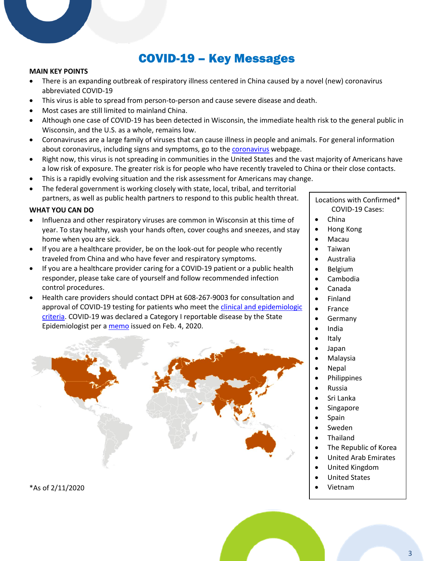## COVID-19 – Key Messages

#### **MAIN KEY POINTS**

- There is an expanding outbreak of respiratory illness centered in China caused by a novel (new) coronavirus abbreviated COVID-19
- This virus is able to spread from person-to-person and cause severe disease and death.
- Most cases are still limited to mainland China.
- Although one case of COVID-19 has been detected in Wisconsin, the immediate health risk to the general public in Wisconsin, and the U.S. as a whole, remains low.
- Coronaviruses are a large family of viruses that can cause illness in people and animals. For general information about coronavirus, including signs and symptoms, go to the **coronavirus** webpage.
- Right now, this virus is not spreading in communities in the United States and the vast majority of Americans have a low risk of exposure. The greater risk is for people who have recently traveled to China or their close contacts.
- This is a rapidly evolving situation and the risk assessment for Americans may change.
- The federal government is working closely with state, local, tribal, and territorial partners, as well as public health partners to respond to this public health threat.

### **WHAT YOU CAN DO**

- Influenza and other respiratory viruses are common in Wisconsin at this time of year. To stay healthy, wash your hands often, cover coughs and sneezes, and stay home when you are sick.
- If you are a healthcare provider, be on the look-out for people who recently traveled from China and who have fever and respiratory symptoms.
- If you are a healthcare provider caring for a COVID-19 patient or a public health responder, please take care of yourself and follow recommended infection control procedures.
- Health care providers should contact DPH at 608-267-9003 for consultation and approval of COVID-19 testing for patients who meet the clinical and epidemiologic [criteria.](https://www.cdc.gov/coronavirus/2019-ncov/hcp/clinical-criteria.html?CDC_AA_refVal=https%3A%2F%2Fwww.cdc.gov%2Fcoronavirus%2F2019-ncov%2Fclinical-criteria.html) COVID-19 was declared a Category I reportable disease by the State Epidemiologist per a [memo](https://www.dhs.wisconsin.gov/dph/memos/communicable-diseases/2020-02.pdf) issued on Feb. 4, 2020.



\*As of 2/11/2020

Locations with Confirmed\* COVID-19 Cases:

- China
- Hong Kong
- Macau
- Taiwan
- Australia
- Belgium
- Cambodia
- Canada
- Finland
- France
- Germany
- India
- Italy
- Japan
- Malaysia
- Nepal
- Philippines
- Russia
- Sri Lanka
- **Singapore**
- Spain
- Sweden
- Thailand
- The Republic of Korea
- United Arab Emirates
- United Kingdom
- United States
- Vietnam